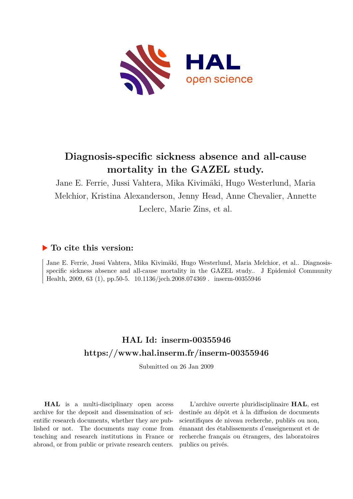

# **Diagnosis-specific sickness absence and all-cause mortality in the GAZEL study.**

Jane E. Ferrie, Jussi Vahtera, Mika Kivimäki, Hugo Westerlund, Maria Melchior, Kristina Alexanderson, Jenny Head, Anne Chevalier, Annette Leclerc, Marie Zins, et al.

## **To cite this version:**

Jane E. Ferrie, Jussi Vahtera, Mika Kivimäki, Hugo Westerlund, Maria Melchior, et al.. Diagnosisspecific sickness absence and all-cause mortality in the GAZEL study.. J Epidemiol Community Health, 2009, 63 (1), pp.50-5.  $10.1136/jech.2008.074369$ . inserm-00355946

## **HAL Id: inserm-00355946 <https://www.hal.inserm.fr/inserm-00355946>**

Submitted on 26 Jan 2009

**HAL** is a multi-disciplinary open access archive for the deposit and dissemination of scientific research documents, whether they are published or not. The documents may come from teaching and research institutions in France or abroad, or from public or private research centers.

L'archive ouverte pluridisciplinaire **HAL**, est destinée au dépôt et à la diffusion de documents scientifiques de niveau recherche, publiés ou non, émanant des établissements d'enseignement et de recherche français ou étrangers, des laboratoires publics ou privés.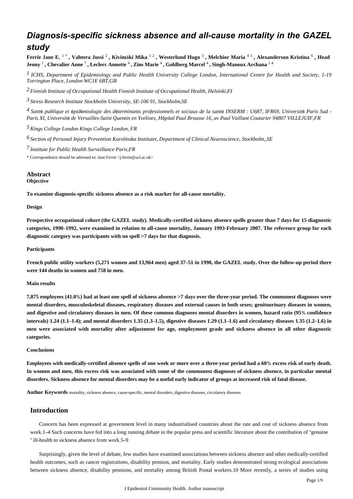## *Diagnosis-specific sickness absence and all-cause mortality in the GAZEL study*

Ferrie Jane E.  $^{1~*}$ , Vahtera Jussi  $^2$ , Kivimäki Mika  $^{1~2}$ , Westerlund Hugo  $^3$ , Melchior Maria  $^{4~5}$ , Alexanderson Kristina  $^6$ , Head **Jenny** <sup>1</sup> **, Chevalier Anne** <sup>7</sup> **, Leclerc Annette** <sup>4</sup> **, Zins Marie** <sup>4</sup> **, Goldberg Marcel** <sup>4</sup> **, Singh-Manoux Archana** <sup>1</sup> <sup>4</sup>

*ICHS, Department of Epidemiology and Public Health 1 University College London, International Centre for Health and Society, 1-19 Torrington Place, London WC1E 6BT,GB*

*Finnish Institute of Occupational Health 2 Finnish Institute of Occupational Health, Helsinki,FI*

*Stress Research Institute 3 Stockholm University, SE-106 91, Stockholm,SE*

<sup>4</sup> Santé publique et épidémiologie des déterminants professionnels et sociaux de la santé INSERM : U687, IFR69, Université Paris Sud -*Paris XI, Universit*é *de Versailles-Saint Quentin en Yvelines, H*ô*pital Paul Brousse 16, av Paul Vaillant Couturier 94807 VILLEJUIF,FR*

*Kings College London 5 Kings College London, FR*

*Section of Personal Injury Prevention 6 Karolinska Institutet, Department of Clinical Neuroscience, Stockholm,,SE*

*Institute for Public Health Surveillance 7 Paris,FR*

\* Correspondence should be adressed to: Jane Ferrie <j.ferrie@ucl.ac.uk>

#### **Abstract Objective**

**To examine diagnosis-specific sickness absence as a risk marker for all-cause mortality.**

**Design**

**Prospective occupational cohort (the GAZEL study). Medically-certified sickness absence spells greater than 7 days for 15 diagnostic categories, 1990**–**1992, were examined in relation to all-cause mortality, January 1993-February 2007. The reference group for each diagnostic category was participants with no spell >7 days for that diagnosis.**

#### **Participants**

**French public utility workers (5,271 women and 13,964 men) aged 37**–**51 in 1990, the GAZEL study. Over the follow-up period there were 144 deaths in women and 758 in men.**

#### **Main results**

**7,875 employees (41.0**%**) had at least one spell of sickness absence >7 days over the three-year period. The commonest diagnoses were mental disorders, musculoskeletal diseases, respiratory diseases and external causes in both sexes; genitourinary diseases in women, and digestive and circulatory diseases in men. Of these common diagnoses mental disorders in women, hazard ratio (95**% **confidence intervals) 1.24 (1.1**–**1.4); and mental disorders 1.35 (1.3**–**1.5), digestive diseases 1.29 (1.1**–**1.6) and circulatory diseases 1.35 (1.2**–**1.6) in men were associated with mortality after adjustment for age, employment grade and sickness absence in all other diagnostic categories.**

#### **Conclusions**

**Employees with medically-certified absence spells of one week or more over a three-year period had a 60**% **excess risk of early death. In women and men, this excess risk was associated with some of the commonest diagnoses of sickness absence, in particular mental disorders. Sickness absence for mental disorders may be a useful early indicator of groups at increased risk of fatal disease.**

**Author Keywords** mortality, sickness absence, cause-specific, mental disorders, digestive diseases, circulatory diseases

### **Introduction**

Concern has been expressed at government level in many industrialised countries about the rate and cost of sickness absence from work.1–4 Such concerns have fed into a long running debate in the popular press and scientific literature about the contribution of "genuine " ill-health to sickness absence from work.5–9

Surprisingly, given the level of debate, few studies have examined associations between sickness absence and other medically-certified health outcomes, such as cancer registrations, disability pension, and mortality. Early studies demonstrated strong ecological associations between sickness absence, disability pensions, and mortality among British Postal workers.10 More recently, a series of studies using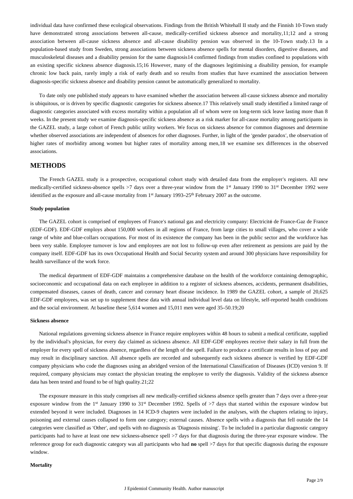individual data have confirmed these ecological observations. Findings from the British Whitehall II study and the Finnish 10-Town study have demonstrated strong associations between all-cause, medically-certified sickness absence and mortality,11;12 and a strong association between all-cause sickness absence and all-cause disability pension was observed in the 10-Town study.13 In a population-based study from Sweden, strong associations between sickness absence spells for mental disorders, digestive diseases, and musculoskeletal diseases and a disability pension for the same diagnosis14 confirmed findings from studies confined to populations with an existing specific sickness absence diagnosis.15;16 However, many of the diagnoses legitimising a disability pension, for example chronic low back pain, rarely imply a risk of early death and so results from studies that have examined the association between diagnosis-specific sickness absence and disability pension cannot be automatically generalized to mortality.

To date only one published study appears to have examined whether the association between all-cause sickness absence and mortality is ubiquitous, or is driven by specific diagnostic categories for sickness absence.17 This relatively small study identified a limited range of diagnostic categories associated with excess mortality within a population all of whom were on long-term sick leave lasting more than 8 weeks. In the present study we examine diagnosis-specific sickness absence as a risk marker for all-cause mortality among participants in the GAZEL study, a large cohort of French public utility workers. We focus on sickness absence for common diagnoses and determine whether observed associations are independent of absences for other diagnoses. Further, in light of the 'gender paradox', the observation of higher rates of morbidity among women but higher rates of mortality among men,18 we examine sex differences in the observed associations.

## **METHODS**

The French GAZEL study is a prospective, occupational cohort study with detailed data from the employer's registers. All new medically-certified sickness-absence spells >7 days over a three-year window from the 1<sup>st</sup> January 1990 to 31<sup>st</sup> December 1992 were identified as the exposure and all-cause mortality from  $1<sup>st</sup>$  January 1993–25<sup>th</sup> February 2007 as the outcome.

#### **Study population**

The GAZEL cohort is comprised of employees of France's national gas and electricity company: Electricité de France-Gaz de France (EDF-GDF). EDF-GDF employs about 150,000 workers in all regions of France, from large cities to small villages, who cover a wide range of white and blue-collars occupations. For most of its existence the company has been in the public sector and the workforce has been very stable. Employee turnover is low and employees are not lost to follow-up even after retirement as pensions are paid by the company itself. EDF-GDF has its own Occupational Health and Social Security system and around 300 physicians have responsibility for health surveillance of the work force.

The medical department of EDF-GDF maintains a comprehensive database on the health of the workforce containing demographic, socioeconomic and occupational data on each employee in addition to a register of sickness absences, accidents, permanent disabilities, compensated diseases, causes of death, cancer and coronary heart disease incidence. In 1989 the GAZEL cohort, a sample of 20,625 EDF-GDF employees, was set up to supplement these data with annual individual level data on lifestyle, self-reported health conditions and the social environment. At baseline these 5,614 women and 15,011 men were aged 35–50.19;20

#### **Sickness absence**

National regulations governing sickness absence in France require employees within 48 hours to submit a medical certificate, supplied by the individual's physician, for every day claimed as sickness absence. All EDF-GDF employees receive their salary in full from the employer for every spell of sickness absence, regardless of the length of the spell. Failure to produce a certificate results in loss of pay and may result in disciplinary sanction. All absence spells are recorded and subsequently each sickness absence is verified by EDF-GDF company physicians who code the diagnoses using an abridged version of the International Classification of Diseases (ICD) version 9. If required, company physicians may contact the physician treating the employee to verify the diagnosis. Validity of the sickness absence data has been tested and found to be of high quality.21;22

The exposure measure in this study comprises all new medically-certified sickness absence spells greater than 7 days over a three-year exposure window from the 1<sup>st</sup> January 1990 to 31<sup>st</sup> December 1992. Spells of  $>7$  days that started within the exposure window but extended beyond it were included. Diagnoses in 14 ICD-9 chapters were included in the analyses, with the chapters relating to injury, poisoning and external causes collapsed to form one category; external causes. Absence spells with a diagnosis that fell outside the 14 categories were classified as 'Other', and spells with no diagnosis as 'Diagnosis missing'. To be included in a particular diagnostic category participants had to have at least one new sickness-absence spell >7 days for that diagnosis during the three-year exposure window. The reference group for each diagnostic category was all participants who had **no** spell >7 days for that specific diagnosis during the exposure window.

#### **Mortality**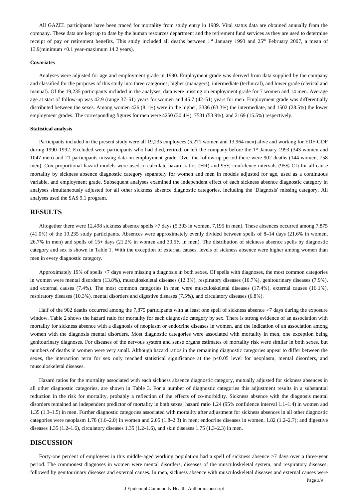All GAZEL participants have been traced for mortality from study entry in 1989. Vital status data are obtained annually from the company. These data are kept up to date by the human resources department and the retirement fund services as they are used to determine receipt of pay or retirement benefits. This study included all deaths between  $1<sup>st</sup>$  January 1993 and 25<sup>th</sup> February 2007, a mean of 13.9(minimum <0.1 year–maximum 14.2 years).

#### **Covariates**

Analyses were adjusted for age and employment grade in 1990. Employment grade was derived from data supplied by the company and classified for the purposes of this study into three categories; higher (managers), intermediate (technical), and lower grade (clerical and manual). Of the 19,235 participants included in the analyses, data were missing on employment grade for 7 women and 14 men. Average age at start of follow-up was 42.9 (range 37–51) years for women and 45.7 (42–51) years for men. Employment grade was differentially distributed between the sexes. Among women 426 (8.1%) were in the higher, 3336 (63.3%) the intermediate, and 1502 (28.5%) the lower employment grades. The corresponding figures for men were 4250 (30.4%), 7531 (53.9%), and 2169 (15.5%) respectively.

#### **Statistical analysis**

Participants included in the present study were all 19,235 employees (5,271 women and 13,964 men) alive and working for EDF-GDF during 1990–1992. Excluded were participants who had died, retired, or left the company before the 1<sup>st</sup> January 1993 (343 women and 1047 men) and 21 participants missing data on employment grade. Over the follow-up period there were 902 deaths (144 women, 758 men). Cox proportional hazard models were used to calculate hazard ratios (HR) and 95% confidence intervals (95% CI) for all-cause mortality by sickness absence diagnostic category separately for women and men in models adjusted for age, used as a continuous variable, and employment grade. Subsequent analyses examined the independent effect of each sickness absence diagnostic category in analyses simultaneously adjusted for all other sickness absence diagnostic categories, including the 'Diagnosis' missing category. All analyses used the SAS 9.1 program.

## **RESULTS**

Altogether there were 12,498 sickness absence spells >7 days (5,303 in women, 7,195 in men). These absences occurred among 7,875 (41.0%) of the 19,235 study participants. Absences were approximately evenly divided between spells of 8–14 days (21.6% in women, 26.7% in men) and spells of 15+ days (21.2% in women and 30.5% in men). The distribution of sickness absence spells by diagnostic category and sex is shown in Table 1. With the exception of external causes, levels of sickness absence were higher among women than men in every diagnostic category.

Approximately 19% of spells >7 days were missing a diagnosis in both sexes. Of spells with diagnoses, the most common categories in women were mental disorders (13.8%), musculoskeletal diseases (12.3%), respiratory diseases (10.7%), genitourinary diseases (7.9%), and external causes (7.4%). The most common categories in men were musculoskeletal diseases (17.4%), external causes (16.1%), respiratory diseases (10.3%), mental disorders and digestive diseases (7.5%), and circulatory diseases (6.8%).

Half of the 902 deaths occurred among the 7,875 participants with at least one spell of sickness absence >7 days during the exposure window. Table 2 shows the hazard ratio for mortality for each diagnostic category by sex. There is strong evidence of an association with mortality for sickness absence with a diagnosis of neoplasm or endocrine diseases in women, and the indication of an association among women with the diagnosis mental disorders. Most diagnostic categories were associated with mortality in men, one exception being genitourinary diagnoses. For diseases of the nervous system and sense organs estimates of mortality risk were similar in both sexes, but numbers of deaths in women were very small. Although hazard ratios in the remaining diagnostic categories appear to differ between the sexes, the interaction term for sex only reached statistical significance at the p<0.05 level for neoplasm, mental disorders, and musculoskeletal diseases.

Hazard ratios for the mortality associated with each sickness absence diagnostic category, mutually adjusted for sickness absences in all other diagnostic categories, are shown in Table 3. For a number of diagnostic categories this adjustment results in a substantial reduction in the risk for mortality, probably a reflection of the effects of co-morbidity. Sickness absence with the diagnosis mental disorders remained an independent predictor of mortality in both sexes; hazard ratio 1.24 (95% confidence interval 1.1–1.4) in women and 1.35 (1.3–1.5) in men. Further diagnostic categories associated with mortality after adjustment for sickness absences in all other diagnostic categories were neoplasm 1.78 (1.6–2.0) in women and 2.05 (1.8–2.3) in men; endocrine diseases in women, 1.82 (1.2–2.7); and digestive diseases 1.35 (1.2–1.6), circulatory diseases 1.35 (1.2–1.6), and skin diseases 1.75 (1.3–2.3) in men.

### **DISCUSSION**

Forty-one percent of employees in this middle-aged working population had a spell of sickness absence >7 days over a three-year period. The commonest diagnoses in women were mental disorders, diseases of the musculoskeletal system, and respiratory diseases, followed by genitourinary diseases and external causes. In men, sickness absence with musculoskeletal diseases and external causes were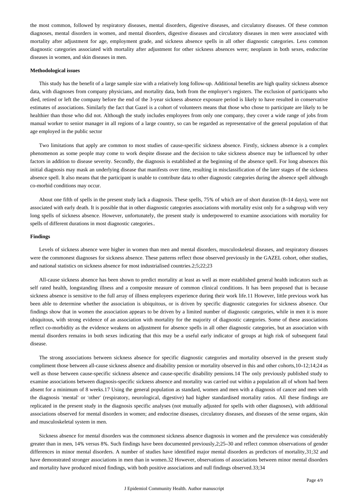the most common, followed by respiratory diseases, mental disorders, digestive diseases, and circulatory diseases. Of these common diagnoses, mental disorders in women, and mental disorders, digestive diseases and circulatory diseases in men were associated with mortality after adjustment for age, employment grade, and sickness absence spells in all other diagnostic categories. Less common diagnostic categories associated with mortality after adjustment for other sickness absences were; neoplasm in both sexes, endocrine diseases in women, and skin diseases in men.

#### **Methodological issues**

This study has the benefit of a large sample size with a relatively long follow-up. Additional benefits are high quality sickness absence data, with diagnoses from company physicians, and mortality data, both from the employer's registers. The exclusion of participants who died, retired or left the company before the end of the 3-year sickness absence exposure period is likely to have resulted in conservative estimates of associations. Similarly the fact that Gazel is a cohort of volunteers means that those who chose to participate are likely to be healthier than those who did not. Although the study includes employees from only one company, they cover a wide range of jobs from manual worker to senior manager in all regions of a large country, so can be regarded as representative of the general population of that age employed in the public sector

Two limitations that apply are common to most studies of cause-specific sickness absence. Firstly, sickness absence is a complex phenomenon as some people may come to work despite disease and the decision to take sickness absence may be influenced by other factors in addition to disease severity. Secondly, the diagnosis is established at the beginning of the absence spell. For long absences this initial diagnosis may mask an underlying disease that manifests over time, resulting in misclassification of the later stages of the sickness absence spell. It also means that the participant is unable to contribute data to other diagnostic categories during the absence spell although co-morbid conditions may occur.

About one fifth of spells in the present study lack a diagnosis. These spells, 75% of which are of short duration (8–14 days), were not associated with early death. It is possible that in other diagnostic categories associations with mortality exist only for a subgroup with very long spells of sickness absence. However, unfortunately, the present study is underpowered to examine associations with mortality for spells of different durations in most diagnostic categories..

#### **Findings**

Levels of sickness absence were higher in women than men and mental disorders, musculoskeletal diseases, and respiratory diseases were the commonest diagnoses for sickness absence. These patterns reflect those observed previously in the GAZEL cohort, other studies, and national statistics on sickness absence for most industrialised countries.2;5;22;23

All-cause sickness absence has been shown to predict mortality at least as well as more established general health indicators such as self rated health, longstanding illness and a composite measure of common clinical conditions. It has been proposed that is because sickness absence is sensitive to the full array of illness employees experience during their work life.11 However, little previous work has been able to determine whether the association is ubiquitous, or is driven by specific diagnostic categories for sickness absence. Our findings show that in women the association appears to be driven by a limited number of diagnostic categories, while in men it is more ubiquitous, with strong evidence of an association with mortality for the majority of diagnostic categories. Some of these associations reflect co-morbidity as the evidence weakens on adjustment for absence spells in all other diagnostic categories, but an association with mental disorders remains in both sexes indicating that this may be a useful early indicator of groups at high risk of subsequent fatal disease.

The strong associations between sickness absence for specific diagnostic categories and mortality observed in the present study compliment those between all-cause sickness absence and disability pension or mortality observed in this and other cohorts,10–12;14;24 as well as those between cause-specific sickness absence and cause-specific disability pensions.14 The only previously published study to examine associations between diagnosis-specific sickness absence and mortality was carried out within a population all of whom had been absent for a minimum of 8 weeks.17 Using the general population as standard, women and men with a diagnosis of cancer and men with the diagnosis 'mental' or 'other' (respiratory, neurological, digestive) had higher standardised mortality ratios. All these findings are replicated in the present study in the diagnosis specific analyses (not mutually adjusted for spells with other diagnoses), with additional associations observed for mental disorders in women; and endocrine diseases, circulatory diseases, and diseases of the sense organs, skin and musculoskeletal system in men.

Sickness absence for mental disorders was the commonest sickness absence diagnosis in women and the prevalence was considerably greater than in men, 14% versus 8%. Such findings have been documented previously,2;25–30 and reflect common observations of gender differences in minor mental disorders. A number of studies have identified major mental disorders as predictors of mortality,31;32 and have demonstrated stronger associations in men than in women.32 However, observations of associations between minor mental disorders and mortality have produced mixed findings, with both positive associations and null findings observed.33;34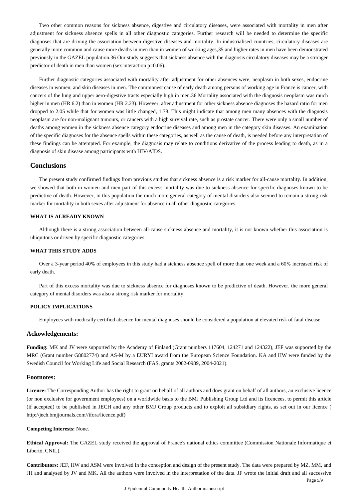Two other common reasons for sickness absence, digestive and circulatory diseases, were associated with mortality in men after adjustment for sickness absence spells in all other diagnostic categories. Further research will be needed to determine the specific diagnoses that are driving the association between digestive diseases and mortality. In industrialised countries, circulatory diseases are generally more common and cause more deaths in men than in women of working ages,35 and higher rates in men have been demonstrated previously in the GAZEL population.36 Our study suggests that sickness absence with the diagnosis circulatory diseases may be a stronger predictor of death in men than women (sex interaction p=0.06).

Further diagnostic categories associated with mortality after adjustment for other absences were; neoplasm in both sexes, endocrine diseases in women, and skin diseases in men. The commonest cause of early death among persons of working age in France is cancer, with cancers of the lung and upper aero-digestive tracts especially high in men.36 Mortality associated with the diagnosis neoplasm was much higher in men (HR 6.2) than in women (HR 2.23). However, after adjustment for other sickness absence diagnoses the hazard ratio for men dropped to 2.05 while that for women was little changed, 1.78. This might indicate that among men many absences with the diagnosis neoplasm are for non-malignant tumours, or cancers with a high survival rate, such as prostate cancer. There were only a small number of deaths among women in the sickness absence category endocrine diseases and among men in the category skin diseases. An examination of the specific diagnoses for the absence spells within these categories, as well as the cause of death, is needed before any interpretation of these findings can be attempted. For example, the diagnosis may relate to conditions derivative of the process leading to death, as in a diagnosis of skin disease among participants with HIV/AIDS.

## **Conclusions**

The present study confirmed findings from previous studies that sickness absence is a risk marker for all-cause mortality. In addition, we showed that both in women and men part of this excess mortality was due to sickness absence for specific diagnoses known to be predictive of death. However, in this population the much more general category of mental disorders also seemed to remain a strong risk marker for mortality in both sexes after adjustment for absence in all other diagnostic categories.

### **WHAT IS ALREADY KNOWN**

Although there is a strong association between all-cause sickness absence and mortality, it is not known whether this association is ubiquitous or driven by specific diagnostic categories.

#### **WHAT THIS STUDY ADDS**

Over a 3-year period 40% of employees in this study had a sickness absence spell of more than one week and a 60% increased risk of early death.

Part of this excess mortality was due to sickness absence for diagnoses known to be predictive of death. However, the more general category of mental disorders was also a strong risk marker for mortality.

#### **POLICY IMPLICATIONS**

Employees with medically certified absence for mental diagnoses should be considered a population at elevated risk of fatal disease.

#### **Ackowledgements:**

**Funding:** MK and JV were supported by the Academy of Finland (Grant numbers 117604, 124271 and 124322), JEF was supported by the MRC (Grant number G8802774) and AS-M by a EURYI award from the European Science Foundation. KA and HW were funded by the Swedish Council for Working Life and Social Research (FAS, grants 2002-0989, 2004-2021).

#### **Footnotes:**

**Licence:** The Corresponding Author has the right to grant on behalf of all authors and does grant on behalf of all authors, an exclusive licence (or non exclusive for government employees) on a worldwide basis to the BMJ Publishing Group Ltd and its licencees, to permit this article (if accepted) to be published in JECH and any other BMJ Group products and to exploit all subsidiary rights, as set out in our licence ( http://jech.bmjjournals.com//ifora/licence.pdf)

#### **Competing Interests:** None.

**Ethical Approval:** The GAZEL study received the approval of France's national ethics committee (Commission Nationale Informatique et Liberté, CNIL).

**Contributors:** JEF, HW and ASM were involved in the conception and design of the present study. The data were prepared by MZ, MM, and JH and analysed by JV and MK. All the authors were involved in the interpretation of the data. JF wrote the initial draft and all successive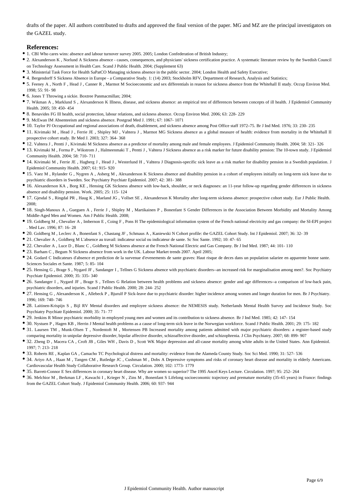drafts of the paper. All authors contributed to drafts and approved the final version of the paper. MG and MZ are the principal investigators on the GAZEL study.

## **References:**

- 1. CBI Who cares wins: absence and labour turnover survey 2005. 2005; London Confederation of British Industry;
- 2. Alexanderson K , Norlund A Sickness absence causes, consequences, and physicians' sickness certification practice. A systematic literature review by the Swedish Council on Technology Assessment in Health Care. Scand J Public Health. 2004; (Supplement 63)
- 3. Ministerial Task Force for Health SaPatCO Managing sickness absence in the public sector. 2004; London Health and Safety Executive;
- 4. Bergendorff S Sickness Absence in Europe a Comparative Study. 1: (14) 2003; Stockholm RFV, Department of Research, Analysis and Statistics;
- 5. Feeney A , North F , Head J , Canner R , Marmot M Socioeconomic and sex differentials in reason for sickness absence from the Whitehall II study. Occup Environ Med.  $1998: 55: 91-98$
- 6. Jones T Throwing a sickie. Boxtree Panmacmillan; 2004;
- 7. Wikman A , Marklund S , Alexanderson K Illness, disease, and sickness absence: an empirical test of differences between concepts of ill health. J Epidemiol Community Health. 2005; 59: 450- 454
- 8. Benavides FG Ill health, social protection, labour relations, and sickness absence. Occup Environ Med. 2006; 63: 228- 229
- 9. McEwan IM Absenteeism and sickness absence. Postgrad Med J. 1991; 67: 1067- 1071
- 10. Taylor PJ Occupational and regional associations of death, disablement, and sickness absence among Post Office staff 1972–75. Br J Ind Med. 1976; 33: 230- 235
- 11. Kivimaki M , Head J , Ferrie JE , Shipley MJ , Vahtera J , Marmot MG Sickness absence as a global measure of health: evidence from mortality in the Whitehall II prospective cohort study. Br Med J. 2003; 327: 364- 368
- 12. Vahtera J , Pentti J , Kivimaki M Sickness absence as a predictor of mortality among male and female employees. J Epidemiol Community Health. 2004; 58: 321- 326
- 13. Kivimaki M , Forma P , Wikstrom J , Halmeenmaki T , Pentti J , Vahtera J Sickness absence as a risk marker for future disability pension: The 10-town study. J Epidemiol Community Health. 2004; 58: 710- 711
- 14. Kivimaki M , Ferrie JE , Hagberg J , Head J , Westerlund H , Vahtera J Diagnosis-specific sick leave as a risk marker for disability pension in a Swedish population. J Epidemiol Community Health. 2007; 61: 915- 920
- 15. Vaez M , Rylander G , Nygren A , Asberg M , Alexanderson K Sickness absence and disability pension in a cohort of employees initially on long-term sick leave due to psychiatric disorders in Sweden. Soc Psychiatry Psychiatr Epidemiol. 2007; 42: 381- 388
- 16. Alexanderson KA , Borg KE , Hensing GK Sickness absence with low-back, shoulder, or neck diagnoses: an 11-year follow-up regarding gender differences in sickness absence and disability pension. Work. 2005; 25: 115- 124
- 17. Gjesdal S , Ringdal PR , Haug K , Maeland JG , Vollset SE , Alexanderson K Mortality after long-term sickness absence: prospective cohort study. Eur J Public Health. 2008;
- 18. Singh-Manoux A , Gueguen A , Ferrie J , Shipley M , Martikainen P , Bonenfant S Gender Differences in the Association Between Morbidity and Mortality Among Middle-Aged Men and Women. Am J Public Health. 2008;
- 19. Goldberg M , Chevalier A , Imbernon E , Coing F , Pons H The epidemiological information system of the French national electricity and gas company: the SI-EPI project . Med Lav. 1996; 87: 16- 28
- 20. Goldberg M , Leclerc A , Bonenfant S , Chastang JF , Schmaus A , Kaniewski N Cohort profile: the GAZEL Cohort Study. Int J Epidemiol. 2007; 36: 32- 39
- 21. Chevalier A , Goldberg M L'absence au travail: indicateur social ou indicateur de sante. Sc Soc Sante. 1992; 10: 47- 65
- 22. Chevalier A , Luce D , Blanc C , Goldberg M Sickness absence at the French National Electric and Gas Company. Br J Ind Med. 1987; 44: 101- 110
- <sup>•</sup> 23. Barham C, Begum N Sickness absence from work in the UK. Labour Market trends 2007. April 2005;
- 24. Godard C Indicateurs d'absence et prediction de la survenue d'evenements de sante graves: Haut risque de deces dans un population salariee en apparente bonne sante. Sciences Sociales et Sante. 1987; 5: 85- 104
- 25. Hensing G , Brage S , Nygard JF , Sandanger I , Tellnes G Sickness absence with psychiatric disorders--an increased risk for marginalisation among men?. Soc Psychiatry Psychiatr Epidemiol. 2000; 35: 335- 340
- 26. Sandanger I , Nygard JF , Brage S , Tellnes G Relation between health problems and sickness absence: gender and age differences--a comparison of low-back pain, psychiatric disorders, and injuries. Scand J Public Health. 2000; 28: 244- 252
- 27. Hensing G , Alexanderson K , Allebeck P , Bjurulf P Sick-leave due to psychiatric disorder: higher incidence among women and longer duration for men. Br J Psychiatry. 1996; 169: 740- 746
- 28. Laitinen-Krispijn S , Bijl RV Mental disorders and employee sickness absence: the NEMESIS study. Netherlands Mental Health Survey and Incidence Study. Soc Psychiatry Psychiatr Epidemiol. 2000; 35: 71- 77
- 29. Jenkins R Minor psychiatric morbidity in employed young men and women and its contribution to sickness absence. Br J Ind Med. 1985; 42: 147- 154
- 30. Nystuen P , Hagen KB , Herrin J Mental health problems as a cause of long-term sick leave in the Norwegian workforce. Scand J Public Health. 2001; 29: 175- 182
- 31. Laursen TM , Munk-Olsen T , Nordentoft M , Mortensen PB Increased mortality among patients admitted with major psychiatric disorders: a register-based study comparing mortality in unipolar depressive disorder, bipolar affective disorder, schizoaffective disorder, and schizophrenia. J Clin Psychiatry. 2007; 68: 899- 907
- 32. Zheng D , Macera CA , Croft JB , Giles WH , Davis D , Scott WK Major depression and all-cause mortality among white adults in the United States. Ann Epidemiol. 1997; 7: 213- 218
- 33. Roberts RE , Kaplan GA , Camacho TC Psychological distress and mortality: evidence from the Alameda County Study. Soc Sci Med. 1990; 31: 527- 536
- 34. Ariyo AA , Haan M , Tangen CM , Rutledge JC , Cushman M , Dobs A Depressive symptoms and risks of coronary heart disease and mortality in elderly Americans. Cardiovascular Health Study Collaborative Research Group. Circulation. 2000; 102: 1773- 1779
- 35. Barrett-Connor E Sex differences in coronary heart disease. Why are women so superior? The 1995 Ancel Keys Lecture. Circulation. 1997; 95: 252- 264
- 36. Melchior M , Berkman LF , Kawachi I , Krieger N , Zins M , Bonenfant S Lifelong socioeconomic trajectory and premature mortality (35–65 years) in France: findings from the GAZEL Cohort Study. J Epidemiol Community Health. 2006; 60: 937- 944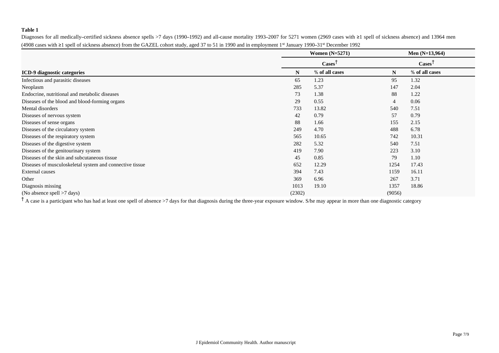## **Table 1**

Diagnoses for all medically–certified sickness absence spells >7 days (1990–1992) and all-cause mortality 1993–2007 for 5271 women (2969 cases with ≥1 spell of sickness absence) and 13964 men (4908 cases with ≥1 spell of sickness absence) from the GAZEL cohort study, aged 37 to 51 in 1990 and in employment 1<sup>st</sup> January 1990–31<sup>st</sup> December 1992

|                                                          | <b>Women</b> (N=5271)         |                |                | Men $(N=13,964)$ |  |  |
|----------------------------------------------------------|-------------------------------|----------------|----------------|------------------|--|--|
|                                                          | $\text{Case} \}^{\mathsf{T}}$ |                |                | $\text{Case}$    |  |  |
| <b>ICD-9</b> diagnostic categories                       | N                             | % of all cases | N              | % of all cases   |  |  |
| Infectious and parasitic diseases                        | 65                            | 1.23           | 95             | 1.32             |  |  |
| Neoplasm                                                 | 285                           | 5.37           | 147            | 2.04             |  |  |
| Endocrine, nutritional and metabolic diseases            | 73                            | 1.38           | 88             | 1.22             |  |  |
| Diseases of the blood and blood-forming organs           | 29                            | 0.55           | $\overline{4}$ | 0.06             |  |  |
| Mental disorders                                         | 733                           | 13.82          | 540            | 7.51             |  |  |
| Diseases of nervous system                               | 42                            | 0.79           | 57             | 0.79             |  |  |
| Diseases of sense organs                                 | 88                            | 1.66           | 155            | 2.15             |  |  |
| Diseases of the circulatory system                       | 249                           | 4.70           | 488            | 6.78             |  |  |
| Diseases of the respiratory system                       | 565                           | 10.65          | 742            | 10.31            |  |  |
| Diseases of the digestive system                         | 282                           | 5.32           | 540            | 7.51             |  |  |
| Diseases of the genitourinary system                     | 419                           | 7.90           | 223            | 3.10             |  |  |
| Diseases of the skin and subcutaneous tissue             | 45                            | 0.85           | 79             | 1.10             |  |  |
| Diseases of musculoskeletal system and connective tissue | 652                           | 12.29          | 1254           | 17.43            |  |  |
| <b>External causes</b>                                   | 394                           | 7.43           | 1159           | 16.11            |  |  |
| Other                                                    | 369                           | 6.96           | 267            | 3.71             |  |  |
| Diagnosis missing                                        | 1013                          | 19.10          | 1357           | 18.86            |  |  |
| (No absence spell >7 days)                               | (2302)                        |                | (9056)         |                  |  |  |

<sup>†</sup> A case is a participant who has had at least one spell of absence >7 days for that diagnosis during the three-year exposure window. S/he may appear in more than one diagnostic category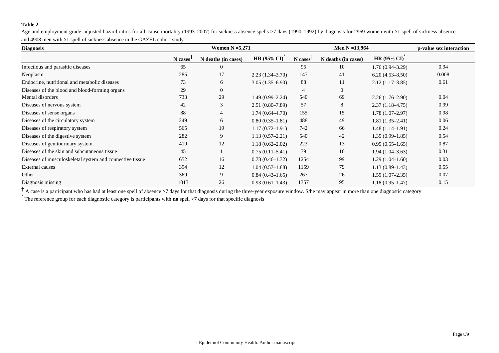### **Table 2**

Age and employment grade–adjusted hazard ratios for all–cause mortality (1993–2007) for sickness absence spells >7 days (1990–1992) by diagnosis for 2969 women with ≥1 spell of sickness absence and 4908 men with ≥1 spell of sickness absence in the GAZEL cohort study

| <b>Diagnosis</b>                                         |         | Women $N = 5,271$   |                     |         | Men $N = 13,964$    | p-value sex interaction |       |
|----------------------------------------------------------|---------|---------------------|---------------------|---------|---------------------|-------------------------|-------|
|                                                          | N cases | N deaths (in cases) | <b>HR (95% CI)</b>  | N cases | N deaths (in cases) | <b>HR (95% CI)</b>      |       |
| Infectious and parasitic diseases                        | 65      | 0                   |                     | 95      | 10                  | $1.76(0.94 - 3.29)$     | 0.94  |
| Neoplasm                                                 | 285     | 17                  | $2.23(1.34-3.70)$   | 147     | 41                  | $6.20(4.53 - 8.50)$     | 0.008 |
| Endocrine, nutritional and metabolic diseases            | 73      | 6                   | $3.05(1.35-6.90)$   | 88      | 11                  | $2.12(1.17-3.85)$       | 0.61  |
| Diseases of the blood and blood-forming organs           | 29      | 0                   |                     | 4       | $\Omega$            |                         |       |
| Mental disorders                                         | 733     | 29                  | $1.49(0.99 - 2.24)$ | 540     | 69                  | $2.26(1.76-2.90)$       | 0.04  |
| Diseases of nervous system                               | 42      | 3                   | $2.51(0.80-7.89)$   | 57      | 8                   | $2.37(1.18-4.75)$       | 0.99  |
| Diseases of sense organs                                 | 88      | 4                   | $1.74(0.64 - 4.70)$ | 155     | 15                  | $1.78(1.07-2.97)$       | 0.98  |
| Diseases of the circulatory system                       | 249     | 6                   | $0.80(0.35-1.81)$   | 488     | 49                  | $1.81(1.35-2.41)$       | 0.06  |
| Diseases of respiratory system                           | 565     | 19                  | $1.17(0.72 - 1.91)$ | 742     | 66                  | $1.48(1.14 - 1.91)$     | 0.24  |
| Diseases of the digestive system                         | 282     | 9                   | $1.13(0.57-2.21)$   | 540     | 42                  | $1.35(0.99 - 1.85)$     | 0.54  |
| Diseases of genitourinary system                         | 419     | 12                  | $1.18(0.62 - 2.02)$ | 223     | 13                  | $0.95(0.55-1.65)$       | 0.87  |
| Diseases of the skin and subcutaneous tissue             | 45      |                     | $0.75(0.11-5.41)$   | 79      | 10                  | $1.94(1.04-3.63)$       | 0.31  |
| Diseases of musculoskeletal system and connective tissue | 652     | 16                  | $0.78(0.46-1.32)$   | 1254    | 99                  | $1.29(1.04-1.60)$       | 0.03  |
| External causes                                          | 394     | 12                  | $1.04(0.57-1.88)$   | 1159    | 79                  | $1.13(0.89 - 1.43)$     | 0.55  |
| Other                                                    | 369     | 9                   | $0.84(0.43-1.65)$   | 267     | 26                  | $1.59(1.07-2.35)$       | 0.07  |
| Diagnosis missing                                        | 1013    | 26                  | $0.93(0.61 - 1.43)$ | 1357    | 95                  | $1.18(0.95 - 1.47)$     | 0.15  |

<sup>†</sup> A case is a participant who has had at least one spell of absence >7 days for that diagnosis during the three-year exposure window. S/he may appear in more than one diagnostic category

\* The reference group for each diagnostic category is participants with **no** spell >7 days for that specific diagnosis